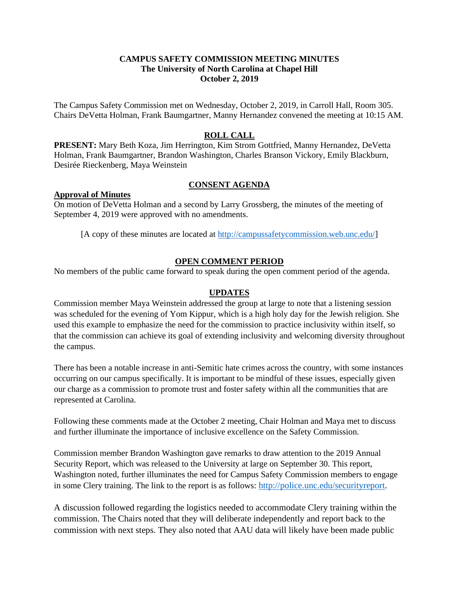#### **CAMPUS SAFETY COMMISSION MEETING MINUTES The University of North Carolina at Chapel Hill October 2, 2019**

The Campus Safety Commission met on Wednesday, October 2, 2019, in Carroll Hall, Room 305. Chairs DeVetta Holman, Frank Baumgartner, Manny Hernandez convened the meeting at 10:15 AM.

### **ROLL CALL**

**PRESENT:** Mary Beth Koza, Jim Herrington, Kim Strom Gottfried, Manny Hernandez, DeVetta Holman, Frank Baumgartner, Brandon Washington, Charles Branson Vickory, Emily Blackburn, Desirée Rieckenberg, Maya Weinstein

### **CONSENT AGENDA**

#### **Approval of Minutes**

On motion of DeVetta Holman and a second by Larry Grossberg, the minutes of the meeting of September 4, 2019 were approved with no amendments.

[A copy of these minutes are located at [http://campussafetycommission.web.unc.edu/\]](http://campussafetycommission.web.unc.edu/)

#### **OPEN COMMENT PERIOD**

No members of the public came forward to speak during the open comment period of the agenda.

## **UPDATES**

Commission member Maya Weinstein addressed the group at large to note that a listening session was scheduled for the evening of Yom Kippur, which is a high holy day for the Jewish religion. She used this example to emphasize the need for the commission to practice inclusivity within itself, so that the commission can achieve its goal of extending inclusivity and welcoming diversity throughout the campus.

There has been a notable increase in anti-Semitic hate crimes across the country, with some instances occurring on our campus specifically. It is important to be mindful of these issues, especially given our charge as a commission to promote trust and foster safety within all the communities that are represented at Carolina.

Following these comments made at the October 2 meeting, Chair Holman and Maya met to discuss and further illuminate the importance of inclusive excellence on the Safety Commission.

Commission member Brandon Washington gave remarks to draw attention to the 2019 Annual Security Report, which was released to the University at large on September 30. This report, Washington noted, further illuminates the need for Campus Safety Commission members to engage in some Clery training. The link to the report is as follows: [http://police.unc.edu/securityreport.](http://police.unc.edu/securityreport)

A discussion followed regarding the logistics needed to accommodate Clery training within the commission. The Chairs noted that they will deliberate independently and report back to the commission with next steps. They also noted that AAU data will likely have been made public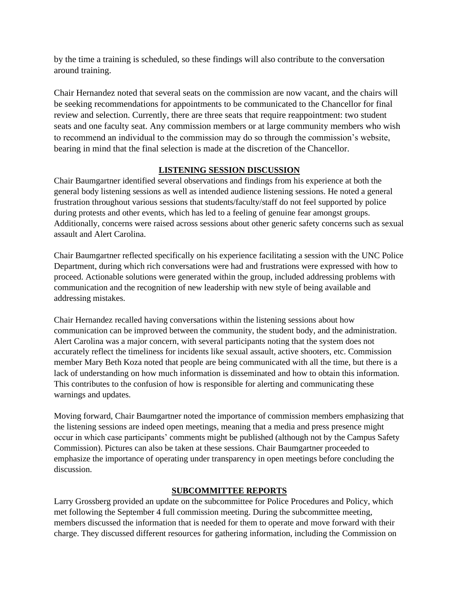by the time a training is scheduled, so these findings will also contribute to the conversation around training.

Chair Hernandez noted that several seats on the commission are now vacant, and the chairs will be seeking recommendations for appointments to be communicated to the Chancellor for final review and selection. Currently, there are three seats that require reappointment: two student seats and one faculty seat. Any commission members or at large community members who wish to recommend an individual to the commission may do so through the commission's website, bearing in mind that the final selection is made at the discretion of the Chancellor.

## **LISTENING SESSION DISCUSSION**

Chair Baumgartner identified several observations and findings from his experience at both the general body listening sessions as well as intended audience listening sessions. He noted a general frustration throughout various sessions that students/faculty/staff do not feel supported by police during protests and other events, which has led to a feeling of genuine fear amongst groups. Additionally, concerns were raised across sessions about other generic safety concerns such as sexual assault and Alert Carolina.

Chair Baumgartner reflected specifically on his experience facilitating a session with the UNC Police Department, during which rich conversations were had and frustrations were expressed with how to proceed. Actionable solutions were generated within the group, included addressing problems with communication and the recognition of new leadership with new style of being available and addressing mistakes.

Chair Hernandez recalled having conversations within the listening sessions about how communication can be improved between the community, the student body, and the administration. Alert Carolina was a major concern, with several participants noting that the system does not accurately reflect the timeliness for incidents like sexual assault, active shooters, etc. Commission member Mary Beth Koza noted that people are being communicated with all the time, but there is a lack of understanding on how much information is disseminated and how to obtain this information. This contributes to the confusion of how is responsible for alerting and communicating these warnings and updates.

Moving forward, Chair Baumgartner noted the importance of commission members emphasizing that the listening sessions are indeed open meetings, meaning that a media and press presence might occur in which case participants' comments might be published (although not by the Campus Safety Commission). Pictures can also be taken at these sessions. Chair Baumgartner proceeded to emphasize the importance of operating under transparency in open meetings before concluding the discussion.

## **SUBCOMMITTEE REPORTS**

Larry Grossberg provided an update on the subcommittee for Police Procedures and Policy, which met following the September 4 full commission meeting. During the subcommittee meeting, members discussed the information that is needed for them to operate and move forward with their charge. They discussed different resources for gathering information, including the Commission on